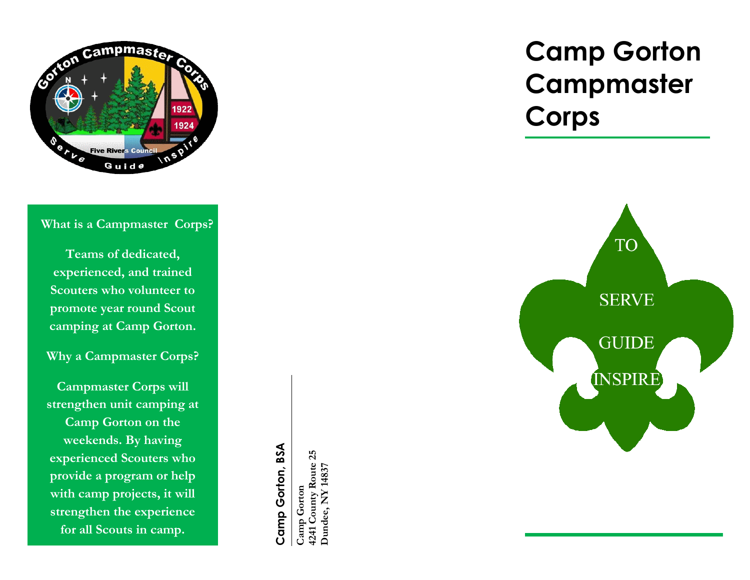

## **What is a Campmaster Corps?**

**Teams of dedicated, experienced, and trained Scouters who volunteer to promote year round Scout camping at Camp Gorton.**

**Why a Campmaster Corps?** 

**Campmaster Corps will strengthen unit camping at Camp Gorton on the weekends. By having experienced Scouters who provide a program or help with camp projects, it will strengthen the experience for all Scouts in camp.**

Camp Gorton, BSA **Camp Gorton, BSA**

Camp Gorton<br>4241 County Route 25<br>Dundee, NY 14837 **4241 County Route 25 Dundee, NY 14837 Camp Gorton** 

# **Camp Gorton Campmaster Corps**